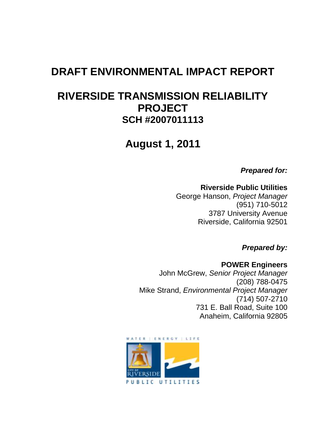# **DRAFT ENVIRONMENTAL IMPACT REPORT**

# **RIVERSIDE TRANSMISSION RELIABILITY PROJECT SCH #2007011113**

**August 1, 2011**

*Prepared for:*

#### **Riverside Public Utilities**

George Hanson, *Project Manager* (951) 710-5012 3787 University Avenue Riverside, California 92501

*Prepared by:*

**POWER Engineers** John McGrew, *Senior Project Manager* (208) 788-0475 Mike Strand, *Environmental Project Manager* (714) 507-2710 731 E. Ball Road, Suite 100 Anaheim, California 92805

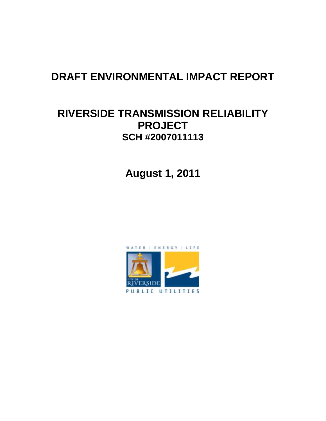# **DRAFT ENVIRONMENTAL IMPACT REPORT**

## **RIVERSIDE TRANSMISSION RELIABILITY PROJECT SCH #2007011113**

**August 1, 2011**

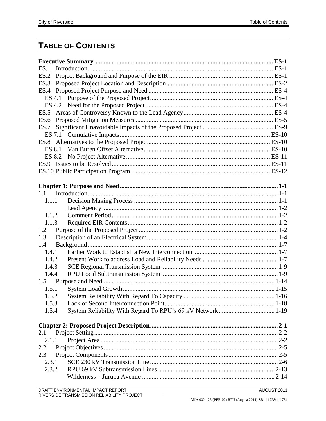## **TABLE OF CONTENTS**

| ES.1   |  |
|--------|--|
| ES.2   |  |
| ES.3   |  |
|        |  |
|        |  |
|        |  |
|        |  |
| ES.6   |  |
| ES.7   |  |
|        |  |
|        |  |
| ES.8.1 |  |
|        |  |
|        |  |
|        |  |
|        |  |
|        |  |
| 1.1    |  |
| 1.1.1  |  |
|        |  |
| 1.1.2  |  |
| 1.1.3  |  |
| 1.2    |  |
| 1.3    |  |
| 1.4    |  |
| 1.4.1  |  |
| 1.4.2  |  |
| 1.4.3  |  |
| 1.4.4  |  |
|        |  |
| 1.5.1  |  |
| 1.5.2  |  |
| 1.5.3  |  |
| 1.5.4  |  |
|        |  |
|        |  |
| 2.1    |  |
| 2.1.1  |  |
| 2.2    |  |
| 2.3    |  |
| 2.3.1  |  |
| 2.3.2  |  |
|        |  |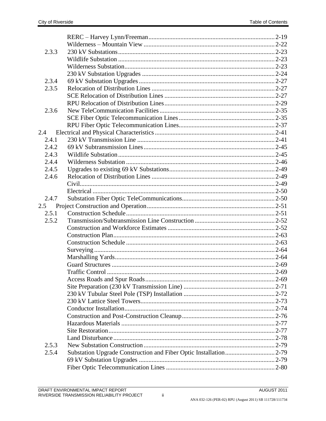| 2.3.3 |  |
|-------|--|
|       |  |
|       |  |
|       |  |
| 2.3.4 |  |
| 2.3.5 |  |
|       |  |
|       |  |
| 2.3.6 |  |
|       |  |
|       |  |
| 2.4   |  |
| 2.4.1 |  |
| 2.4.2 |  |
| 2.4.3 |  |
| 2.4.4 |  |
| 2.4.5 |  |
| 2.4.6 |  |
|       |  |
|       |  |
| 2.4.7 |  |
| 2.5   |  |
| 2.5.1 |  |
| 2.5.2 |  |
|       |  |
|       |  |
|       |  |
|       |  |
|       |  |
|       |  |
|       |  |
|       |  |
|       |  |
|       |  |
|       |  |
|       |  |
|       |  |
|       |  |
|       |  |
|       |  |
| 2.5.3 |  |
| 2.5.4 |  |
|       |  |
|       |  |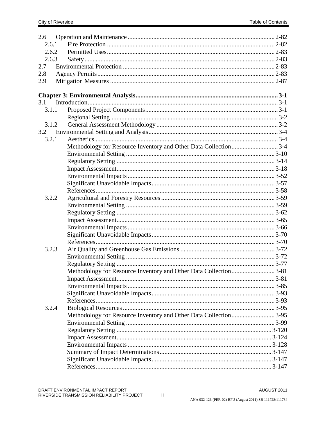| 2.6   |                                                                  |  |
|-------|------------------------------------------------------------------|--|
| 2.6.1 |                                                                  |  |
| 2.6.2 |                                                                  |  |
| 2.6.3 |                                                                  |  |
| 2.7   |                                                                  |  |
| 2.8   |                                                                  |  |
| 2.9   |                                                                  |  |
|       |                                                                  |  |
|       |                                                                  |  |
| 3.1   |                                                                  |  |
| 3.1.1 |                                                                  |  |
|       |                                                                  |  |
| 3.1.2 |                                                                  |  |
| 3.2   |                                                                  |  |
| 3.2.1 |                                                                  |  |
|       | Methodology for Resource Inventory and Other Data Collection3-4  |  |
|       |                                                                  |  |
|       |                                                                  |  |
|       |                                                                  |  |
|       |                                                                  |  |
|       |                                                                  |  |
|       |                                                                  |  |
| 3.2.2 |                                                                  |  |
|       |                                                                  |  |
|       |                                                                  |  |
|       |                                                                  |  |
|       |                                                                  |  |
|       |                                                                  |  |
|       |                                                                  |  |
| 3.2.3 |                                                                  |  |
|       |                                                                  |  |
|       |                                                                  |  |
|       | Methodology for Resource Inventory and Other Data Collection3-81 |  |
|       |                                                                  |  |
|       |                                                                  |  |
|       |                                                                  |  |
|       |                                                                  |  |
| 3.2.4 |                                                                  |  |
|       |                                                                  |  |
|       |                                                                  |  |
|       |                                                                  |  |
|       |                                                                  |  |
|       |                                                                  |  |
|       |                                                                  |  |
|       |                                                                  |  |
|       |                                                                  |  |
|       |                                                                  |  |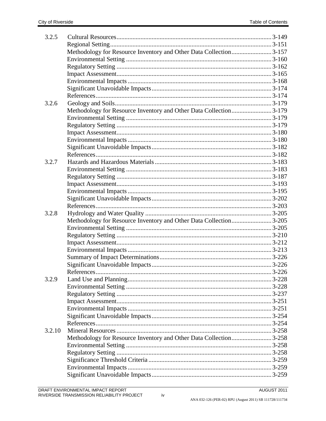| 3.2.5  |                                                                   |  |
|--------|-------------------------------------------------------------------|--|
|        |                                                                   |  |
|        | Methodology for Resource Inventory and Other Data Collection3-157 |  |
|        |                                                                   |  |
|        |                                                                   |  |
|        |                                                                   |  |
|        |                                                                   |  |
|        |                                                                   |  |
|        |                                                                   |  |
| 3.2.6  |                                                                   |  |
|        | Methodology for Resource Inventory and Other Data Collection3-179 |  |
|        |                                                                   |  |
|        |                                                                   |  |
|        |                                                                   |  |
|        |                                                                   |  |
|        |                                                                   |  |
|        |                                                                   |  |
| 3.2.7  |                                                                   |  |
|        |                                                                   |  |
|        |                                                                   |  |
|        |                                                                   |  |
|        |                                                                   |  |
|        |                                                                   |  |
|        |                                                                   |  |
| 3.2.8  |                                                                   |  |
|        | Methodology for Resource Inventory and Other Data Collection3-205 |  |
|        |                                                                   |  |
|        |                                                                   |  |
|        |                                                                   |  |
|        |                                                                   |  |
|        |                                                                   |  |
|        |                                                                   |  |
|        |                                                                   |  |
| 3.2.9  |                                                                   |  |
|        |                                                                   |  |
|        |                                                                   |  |
|        |                                                                   |  |
|        |                                                                   |  |
|        |                                                                   |  |
|        |                                                                   |  |
| 3.2.10 |                                                                   |  |
|        | Methodology for Resource Inventory and Other Data Collection3-258 |  |
|        |                                                                   |  |
|        |                                                                   |  |
|        |                                                                   |  |
|        |                                                                   |  |
|        |                                                                   |  |
|        |                                                                   |  |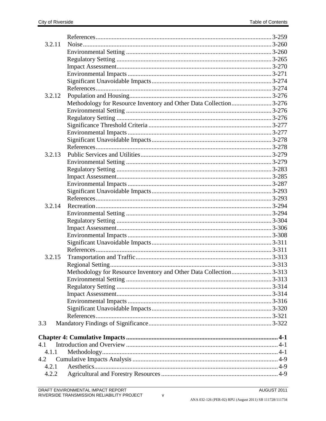| 3.2.11 |                                                                   |  |
|--------|-------------------------------------------------------------------|--|
|        |                                                                   |  |
|        |                                                                   |  |
|        |                                                                   |  |
|        |                                                                   |  |
|        |                                                                   |  |
|        |                                                                   |  |
| 3.2.12 |                                                                   |  |
|        | Methodology for Resource Inventory and Other Data Collection3-276 |  |
|        |                                                                   |  |
|        |                                                                   |  |
|        |                                                                   |  |
|        |                                                                   |  |
|        |                                                                   |  |
|        |                                                                   |  |
| 3.2.13 |                                                                   |  |
|        |                                                                   |  |
|        |                                                                   |  |
|        |                                                                   |  |
|        |                                                                   |  |
|        |                                                                   |  |
|        |                                                                   |  |
| 3.2.14 |                                                                   |  |
|        |                                                                   |  |
|        |                                                                   |  |
|        |                                                                   |  |
|        |                                                                   |  |
|        |                                                                   |  |
|        |                                                                   |  |
| 3.2.15 |                                                                   |  |
|        |                                                                   |  |
|        | Methodology for Resource Inventory and Other Data Collection3-313 |  |
|        |                                                                   |  |
|        |                                                                   |  |
|        |                                                                   |  |
|        |                                                                   |  |
|        |                                                                   |  |
|        |                                                                   |  |
| 3.3    |                                                                   |  |
|        |                                                                   |  |
| 4.1    |                                                                   |  |
| 4.1.1  |                                                                   |  |
| 4.2    |                                                                   |  |
| 4.2.1  |                                                                   |  |
| 4.2.2  |                                                                   |  |
|        |                                                                   |  |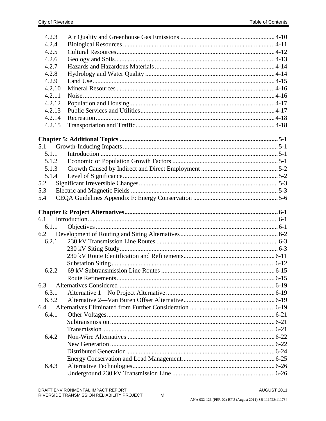| 4.2.3  |  |
|--------|--|
| 4.2.4  |  |
| 4.2.5  |  |
| 4.2.6  |  |
| 4.2.7  |  |
| 4.2.8  |  |
| 4.2.9  |  |
| 4.2.10 |  |
| 4.2.11 |  |
| 4.2.12 |  |
| 4.2.13 |  |
| 4.2.14 |  |
| 4.2.15 |  |
|        |  |
|        |  |
| 5.1    |  |
| 5.1.1  |  |
| 5.1.2  |  |
| 5.1.3  |  |
| 5.1.4  |  |
| 5.2    |  |
| 5.3    |  |
| 5.4    |  |
|        |  |
|        |  |
| 6.1    |  |
| 6.1.1  |  |
| 6.2    |  |
| 6.2.1  |  |
|        |  |
|        |  |
|        |  |
| 6.2.2  |  |
|        |  |
| 6.3    |  |
| 6.3.1  |  |
| 6.3.2  |  |
| 6.4    |  |
| 6.4.1  |  |
|        |  |
|        |  |
| 6.4.2  |  |
|        |  |
|        |  |
|        |  |
| 6.4.3  |  |
|        |  |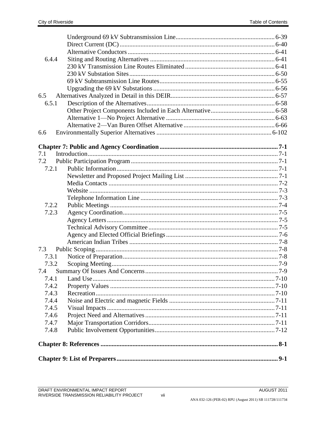| 6.4.4 |  |
|-------|--|
|       |  |
|       |  |
|       |  |
|       |  |
| 6.5   |  |
| 6.5.1 |  |
|       |  |
|       |  |
|       |  |
| 6.6   |  |
|       |  |
|       |  |
| 7.1   |  |
| 7.2   |  |
| 7.2.1 |  |
|       |  |
|       |  |
|       |  |
|       |  |
| 7.2.2 |  |
| 7.2.3 |  |
|       |  |
|       |  |
|       |  |
|       |  |
| 7.3   |  |
| 7.3.1 |  |
| 7.3.2 |  |
|       |  |
| 7.4.1 |  |
| 7.4.2 |  |
| 7.4.3 |  |
| 7.4.4 |  |
| 7.4.5 |  |
| 7.4.6 |  |
| 7.4.7 |  |
| 7.4.8 |  |
|       |  |
|       |  |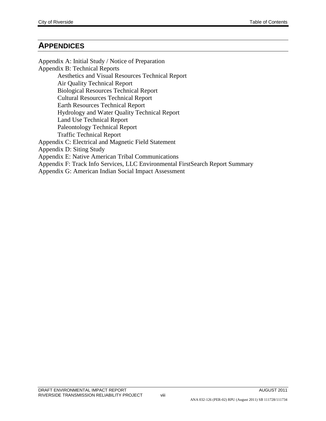#### **APPENDICES**

Appendix A: Initial Study / Notice of Preparation Appendix B: Technical Reports Aesthetics and Visual Resources Technical Report Air Quality Technical Report Biological Resources Technical Report Cultural Resources Technical Report Earth Resources Technical Report Hydrology and Water Quality Technical Report Land Use Technical Report Paleontology Technical Report Traffic Technical Report Appendix C: Electrical and Magnetic Field Statement Appendix D: Siting Study Appendix E: Native American Tribal Communications Appendix F: Track Info Services, LLC Environmental FirstSearch Report Summary Appendix G: American Indian Social Impact Assessment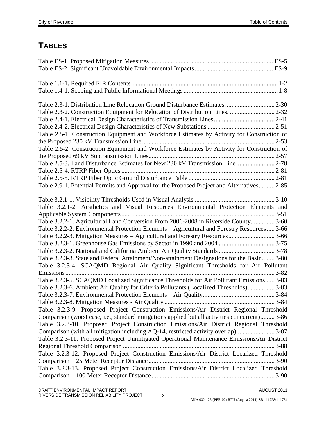### **TABLES**

| Table 2.3-1. Distribution Line Relocation Ground Disturbance Estimates.  2-30                  |
|------------------------------------------------------------------------------------------------|
|                                                                                                |
|                                                                                                |
|                                                                                                |
| Table 2.5-1. Construction Equipment and Workforce Estimates by Activity for Construction of    |
|                                                                                                |
| Table 2.5-2. Construction Equipment and Workforce Estimates by Activity for Construction of    |
|                                                                                                |
| Table 2.5-3. Land Disturbance Estimates for New 230 kV Transmission Line2-78                   |
|                                                                                                |
|                                                                                                |
| Table 2.9-1. Potential Permits and Approval for the Proposed Project and Alternatives 2-85     |
|                                                                                                |
|                                                                                                |
| Table 3.2.1-2. Aesthetics and Visual Resources Environmental Protection Elements and           |
|                                                                                                |
| Table 3.2.2-1. Agricultural Land Conversion From 2006-2008 in Riverside County 3-60            |
| Table 3.2.2-2. Environmental Protection Elements – Agricultural and Forestry Resources 3-66    |
| Table 3.2.2-3. Mitigation Measures – Agricultural and Forestry Resources3-66                   |
|                                                                                                |
|                                                                                                |
| Table 3.2.3-3. State and Federal Attainment/Non-attainment Designations for the Basin 3-80     |
| Table 3.2.3-4. SCAQMD Regional Air Quality Significant Thresholds for Air Pollutant            |
|                                                                                                |
| Table 3.2.3-5. SCAQMD Localized Significance Thresholds for Air Pollutant Emissions 3-83       |
| Table 3.2.3-6. Ambient Air Quality for Criteria Pollutants (Localized Thresholds) 3-83         |
|                                                                                                |
|                                                                                                |
| Table 3.2.3-9. Proposed Project Construction Emissions/Air District Regional Threshold         |
| Comparison (worst case, i.e., standard mitigations applied but all activities concurrent) 3-86 |
| Table 3.2.3-10. Proposed Project Construction Emissions/Air District Regional Threshold        |
| Comparison (with all mitigation including AQ-14, restricted activity overlap) 3-87             |
| Table 3.2.3-11. Proposed Project Unmitigated Operational Maintenance Emissions/Air District    |
|                                                                                                |
| Table 3.2.3-12. Proposed Project Construction Emissions/Air District Localized Threshold       |
|                                                                                                |
| Table 3.2.3-13. Proposed Project Construction Emissions/Air District Localized Threshold       |
|                                                                                                |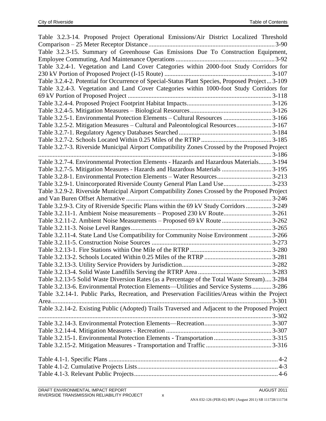| Table 3.2.3-14. Proposed Project Operational Emissions/Air District Localized Threshold         |           |
|-------------------------------------------------------------------------------------------------|-----------|
|                                                                                                 |           |
| Table 3.2.3-15. Summary of Greenhouse Gas Emissions Due To Construction Equipment,              |           |
|                                                                                                 |           |
| Table 3.2.4-1. Vegetation and Land Cover Categories within 2000-foot Study Corridors for        |           |
|                                                                                                 |           |
| Table 3.2.4-2. Potential for Occurrence of Special-Status Plant Species, Proposed Project 3-109 |           |
| Table 3.2.4-3. Vegetation and Land Cover Categories within 1000-foot Study Corridors for        |           |
|                                                                                                 |           |
|                                                                                                 |           |
|                                                                                                 |           |
| Table 3.2.5-1. Environmental Protection Elements - Cultural Resources  3-166                    |           |
| Table 3.2.5-2. Mitigation Measures - Cultural and Paleontological Resources 3-167               |           |
|                                                                                                 |           |
|                                                                                                 |           |
| Table 3.2.7-3. Riverside Municipal Airport Compatibility Zones Crossed by the Proposed Project  |           |
|                                                                                                 |           |
| Table 3.2.7-4. Environmental Protection Elements - Hazards and Hazardous Materials 3-194        |           |
| Table 3.2.7-5. Mitigation Measures - Hazards and Hazardous Materials  3-195                     |           |
| Table 3.2.8-1. Environmental Protection Elements – Water Resources 3-213                        |           |
| Table 3.2.9-1. Unincorporated Riverside County General Plan Land Use3-233                       |           |
| Table 3.2.9-2. Riverside Municipal Airport Compatibility Zones Crossed by the Proposed Project  |           |
|                                                                                                 |           |
| Table 3.2.9-3. City of Riverside Specific Plans within the 69 kV Study Corridors  3-249         |           |
| Table 3.2.11-1. Ambient Noise measurements - Proposed 230 kV Route3-261                         |           |
| Table 3.2.11-2. Ambient Noise Measurements - Proposed 69 kV Route 3-262                         |           |
|                                                                                                 |           |
| Table 3.2.11-4. State Land Use Compatibility for Community Noise Environment  3-266             |           |
|                                                                                                 |           |
|                                                                                                 |           |
|                                                                                                 |           |
|                                                                                                 |           |
|                                                                                                 |           |
| Table 3.2.13-5 Solid Waste Diversion Rates (as a Percentage of the Total Waste Stream) 3-284    |           |
| Table 3.2.13-6. Environmental Protection Elements-Utilities and Service Systems 3-286           |           |
| Table 3.2.14-1. Public Parks, Recreation, and Preservation Facilities/Areas within the Project  |           |
|                                                                                                 | $3 - 301$ |
| Table 3.2.14-2. Existing Public (Adopted) Trails Traversed and Adjacent to the Proposed Project |           |
|                                                                                                 |           |
|                                                                                                 |           |
|                                                                                                 |           |
|                                                                                                 |           |
|                                                                                                 |           |
|                                                                                                 |           |
|                                                                                                 |           |
|                                                                                                 |           |
|                                                                                                 |           |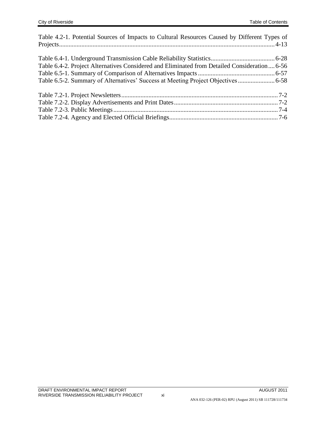| Table 4.2-1. Potential Sources of Impacts to Cultural Resources Caused by Different Types of |  |
|----------------------------------------------------------------------------------------------|--|
|                                                                                              |  |
|                                                                                              |  |
|                                                                                              |  |
| Table 6.4-2. Project Alternatives Considered and Eliminated from Detailed Consideration 6-56 |  |
|                                                                                              |  |
|                                                                                              |  |
|                                                                                              |  |
|                                                                                              |  |
|                                                                                              |  |
|                                                                                              |  |
|                                                                                              |  |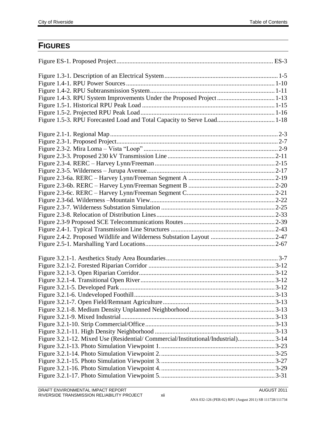### **FIGURES**

| Figure 1.4-3. RPU System Improvements Under the Proposed Project  1-13            |  |
|-----------------------------------------------------------------------------------|--|
|                                                                                   |  |
|                                                                                   |  |
| Figure 1.5-3. RPU Forecasted Load and Total Capacity to Serve Load 1-18           |  |
|                                                                                   |  |
|                                                                                   |  |
|                                                                                   |  |
|                                                                                   |  |
|                                                                                   |  |
|                                                                                   |  |
|                                                                                   |  |
|                                                                                   |  |
|                                                                                   |  |
|                                                                                   |  |
|                                                                                   |  |
|                                                                                   |  |
|                                                                                   |  |
|                                                                                   |  |
|                                                                                   |  |
|                                                                                   |  |
|                                                                                   |  |
|                                                                                   |  |
|                                                                                   |  |
|                                                                                   |  |
|                                                                                   |  |
|                                                                                   |  |
|                                                                                   |  |
|                                                                                   |  |
|                                                                                   |  |
|                                                                                   |  |
|                                                                                   |  |
| Figure 3.2.1-12. Mixed Use (Residential/Commercial/Institutional/Industrial) 3-14 |  |
|                                                                                   |  |
|                                                                                   |  |
|                                                                                   |  |
|                                                                                   |  |
|                                                                                   |  |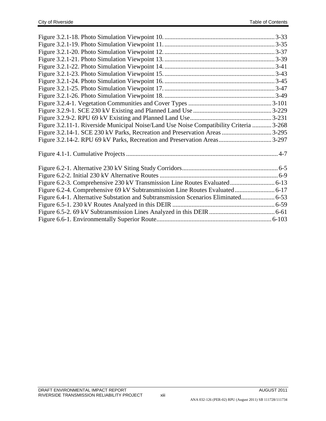| Figure 3.2.11-1. Riverside Municipal Noise/Land Use Noise Compatibility Criteria  3-268 |  |
|-----------------------------------------------------------------------------------------|--|
|                                                                                         |  |
|                                                                                         |  |
|                                                                                         |  |
|                                                                                         |  |
|                                                                                         |  |
|                                                                                         |  |
|                                                                                         |  |
|                                                                                         |  |
|                                                                                         |  |
|                                                                                         |  |
|                                                                                         |  |
|                                                                                         |  |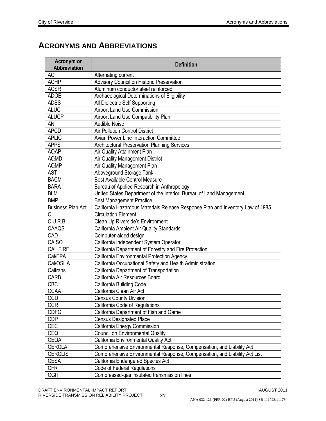### **ACRONYMS AND ABBREVIATIONS**

| Acronym or<br><b>Abbreviation</b> | <b>Definition</b>                                                                                            |
|-----------------------------------|--------------------------------------------------------------------------------------------------------------|
| AC                                | Alternating current                                                                                          |
| <b>ACHP</b>                       | Advisory Council on Historic Preservation                                                                    |
| <b>ACSR</b>                       | Aluminum conductor steel reinforced                                                                          |
| <b>ADOE</b>                       | Archaeological Determinations of Eligibility                                                                 |
| <b>ADSS</b>                       | All Dielectric Self Supporting                                                                               |
| <b>ALUC</b>                       | Airport Land Use Commission                                                                                  |
| <b>ALUCP</b>                      | Airport Land Use Compatibility Plan                                                                          |
| <b>AN</b>                         | <b>Audible Noise</b>                                                                                         |
| <b>APCD</b>                       | Air Pollution Control District                                                                               |
| <b>APLIC</b>                      | Avian Power Line Interaction Committee                                                                       |
| <b>APPS</b>                       | Architectural Preservation Planning Services                                                                 |
| <b>AQAP</b>                       | Air Quality Attainment Plan                                                                                  |
| <b>AQMD</b>                       | Air Quality Management District                                                                              |
| <b>AQMP</b>                       | Air Quality Management Plan                                                                                  |
| <b>AST</b>                        | Aboveground Storage Tank                                                                                     |
| <b>BACM</b>                       | <b>Best Available Control Measure</b>                                                                        |
| <b>BARA</b>                       | Bureau of Applied Research in Anthropology                                                                   |
| <b>BLM</b>                        |                                                                                                              |
| <b>BMP</b>                        | United States Department of the Interior, Bureau of Land Management                                          |
|                                   | <b>Best Management Practice</b>                                                                              |
| <b>Business Plan Act</b><br>C     | California Hazardous Materials Release Response Plan and Inventory Law of 1985<br><b>Circulation Element</b> |
| C.U.R.B.                          | Clean Up Riverside's Environment                                                                             |
| CAAQS                             | California Ambient Air Quality Standards                                                                     |
| CAD                               | Computer-aided design                                                                                        |
| CAISO                             |                                                                                                              |
| <b>CAL FIRE</b>                   | California Independent System Operator<br>California Department of Forestry and Fire Protection              |
| Cal/EPA                           | California Environmental Protection Agency                                                                   |
| Cal/OSHA                          | California Occupational Safety and Health Administration                                                     |
| Caltrans                          | California Department of Transportation                                                                      |
| CARB                              | California Air Resources Board                                                                               |
| <b>CBC</b>                        |                                                                                                              |
| <b>CCAA</b>                       | California Building Code<br>California Clean Air Act                                                         |
|                                   |                                                                                                              |
| CCD                               | <b>Census County Division</b>                                                                                |
| <b>CCR</b>                        | California Code of Regulations                                                                               |
| <b>CDFG</b>                       | California Department of Fish and Game                                                                       |
| <b>CDP</b>                        | <b>Census Designated Place</b>                                                                               |
| <b>CEC</b>                        | California Energy Commission                                                                                 |
| <b>CEQ</b>                        | <b>Council on Environmental Quality</b>                                                                      |
| CEQA                              | California Environmental Quality Act                                                                         |
| <b>CERCLA</b>                     | Comprehensive Environmental Response, Compensation, and Liability Act                                        |
| <b>CERCLIS</b>                    | Comprehensive Environmental Response, Compensation, and Liability Act List                                   |
| <b>CESA</b>                       | California Endangered Species Act                                                                            |
| <b>CFR</b>                        | <b>Code of Federal Regulations</b>                                                                           |
| <b>CGIT</b>                       | Compressed-gas insulated transmission lines                                                                  |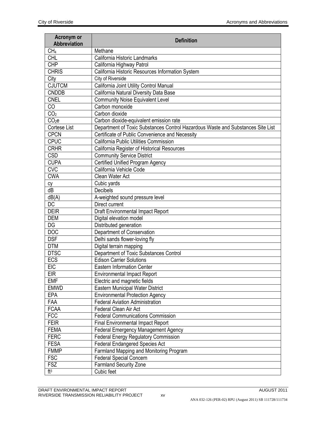| Acronym or<br><b>Abbreviation</b> | <b>Definition</b>                                                               |
|-----------------------------------|---------------------------------------------------------------------------------|
| CH <sub>4</sub>                   | Methane                                                                         |
| <b>CHL</b>                        | California Historic Landmarks                                                   |
| <b>CHP</b>                        | California Highway Patrol                                                       |
| <b>CHRIS</b>                      | California Historic Resources Information System                                |
| City                              | City of Riverside                                                               |
| <b>CJUTCM</b>                     | California Joint Utility Control Manual                                         |
| <b>CNDDB</b>                      | California Natural Diversity Data Base                                          |
| <b>CNEL</b>                       | <b>Community Noise Equivalent Level</b>                                         |
| CO                                | Carbon monoxide                                                                 |
| CO <sub>2</sub>                   | Carbon dioxide                                                                  |
| CO <sub>2</sub> e                 | Carbon dioxide-equivalent emission rate                                         |
| Cortese List                      | Department of Toxic Substances Control Hazardous Waste and Substances Site List |
| <b>CPCN</b>                       | Certificate of Public Convenience and Necessity                                 |
| <b>CPUC</b>                       | California Public Utilities Commission                                          |
| <b>CRHR</b>                       | California Register of Historical Resources                                     |
| <b>CSD</b>                        | <b>Community Service District</b>                                               |
| <b>CUPA</b>                       | <b>Certified Unified Program Agency</b>                                         |
| $\overline{\text{CVC}}$           | California Vehicle Code                                                         |
| <b>CWA</b>                        | Clean Water Act                                                                 |
| сy                                | Cubic yards                                                                     |
| dB                                | Decibels                                                                        |
| dB(A)                             | A-weighted sound pressure level                                                 |
| <b>DC</b>                         | Direct current                                                                  |
| <b>DEIR</b>                       | Draft Environmental Impact Report                                               |
| <b>DEM</b>                        | Digital elevation model                                                         |
| DG                                | Distributed generation                                                          |
| <b>DOC</b>                        | Department of Conservation                                                      |
| <b>DSF</b>                        | Delhi sands flower-loving fly                                                   |
| <b>DTM</b>                        | Digital terrain mapping                                                         |
| <b>DTSC</b>                       | Department of Toxic Substances Control                                          |
| ECS                               | <b>Edison Carrier Solutions</b>                                                 |
| <b>EIC</b>                        | <b>Eastern Information Center</b>                                               |
| <b>EIR</b>                        | <b>Environmental Impact Report</b>                                              |
| <b>EMF</b>                        | Electric and magnetic fields                                                    |
| <b>EMWD</b>                       | Eastern Municipal Water District                                                |
| <b>EPA</b>                        | <b>Environmental Protection Agency</b>                                          |
| FAA                               | <b>Federal Aviation Administration</b>                                          |
| <b>FCAA</b>                       | Federal Clean Air Act                                                           |
| <b>FCC</b>                        | <b>Federal Communications Commission</b>                                        |
| <b>FEIR</b>                       | Final Environmental Impact Report                                               |
| <b>FEMA</b>                       | <b>Federal Emergency Management Agency</b>                                      |
| <b>FERC</b>                       | <b>Federal Energy Regulatory Commission</b>                                     |
| <b>FESA</b>                       | <b>Federal Endangered Species Act</b>                                           |
| <b>FMMP</b>                       | Farmland Mapping and Monitoring Program                                         |
| <b>FSC</b>                        | <b>Federal Special Concern</b>                                                  |
| <b>FSZ</b>                        | <b>Farmland Security Zone</b>                                                   |
| ft <sup>3</sup>                   | Cubic feet                                                                      |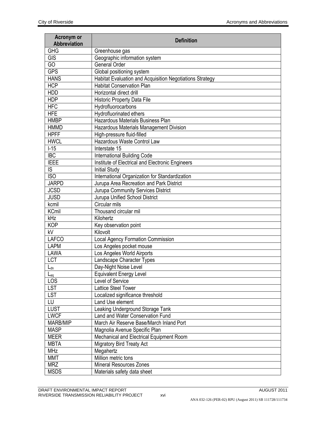| Acronym or<br>Abbreviation | <b>Definition</b>                                        |
|----------------------------|----------------------------------------------------------|
| <b>GHG</b>                 | Greenhouse gas                                           |
| <b>GIS</b>                 | Geographic information system                            |
| $\overline{GO}$            | General Order                                            |
| <b>GPS</b>                 | Global positioning system                                |
| <b>HANS</b>                | Habitat Evaluation and Acquisition Negotiations Strategy |
| <b>HCP</b>                 | <b>Habitat Conservation Plan</b>                         |
| <b>HDD</b>                 | Horizontal direct drill                                  |
| <b>HDP</b>                 | <b>Historic Property Data File</b>                       |
| <b>HFC</b>                 | Hydrofluorocarbons                                       |
| <b>HFE</b>                 | Hydrofluorinated ethers                                  |
| <b>HMBP</b>                | Hazardous Materials Business Plan                        |
| <b>HMMD</b>                | Hazardous Materials Management Division                  |
| <b>HPFF</b>                | High-pressure fluid-filled                               |
| <b>HWCL</b>                | Hazardous Waste Control Law                              |
| $I-15$                     | Interstate 15                                            |
| <b>IBC</b>                 | <b>International Building Code</b>                       |
| <b>IEEE</b>                | Institute of Electrical and Electronic Engineers         |
| IS.                        | <b>Initial Study</b>                                     |
| $\overline{ISO}$           | International Organization for Standardization           |
| <b>JARPD</b>               | Jurupa Area Recreation and Park District                 |
| <b>JCSD</b>                | Jurupa Community Services District                       |
| <b>JUSD</b>                | Jurupa Unified School District                           |
| kcmil                      | Circular mils                                            |
| <b>KCmil</b>               | Thousand circular mil                                    |
| kHz                        | Kilohertz                                                |
| <b>KOP</b>                 | Key observation point                                    |
| kV                         | Kilovolt                                                 |
| <b>LAFCO</b>               | <b>Local Agency Formation Commission</b>                 |
| <b>LAPM</b>                | Los Angeles pocket mouse                                 |
| LAWA                       | Los Angeles World Airports                               |
| <b>LCT</b>                 | Landscape Character Types                                |
| $L_{dn}$                   | Day-Night Noise Level                                    |
| $L_{eq}$                   | <b>Equivalent Energy Level</b>                           |
| LOS                        | Level of Service                                         |
| <b>LST</b>                 | <b>Lattice Steel Tower</b>                               |
| <b>LST</b>                 | Localized significance threshold                         |
| LU                         | Land Use element                                         |
| <b>LUST</b>                | Leaking Underground Storage Tank                         |
| <b>LWCF</b>                | Land and Water Conservation Fund                         |
| MARB/MIP                   | March Air Reserve Base/March Inland Port                 |
| <b>MASP</b>                | Magnolia Avenue Specific Plan                            |
| <b>MEER</b>                | Mechanical and Electrical Equipment Room                 |
| <b>MBTA</b>                | Migratory Bird Treaty Act                                |
| <b>MHz</b>                 | Megahertz                                                |
| <b>MMT</b>                 | Million metric tons                                      |
| <b>MRZ</b>                 | <b>Mineral Resources Zones</b>                           |
| <b>MSDS</b>                | Materials safety data sheet                              |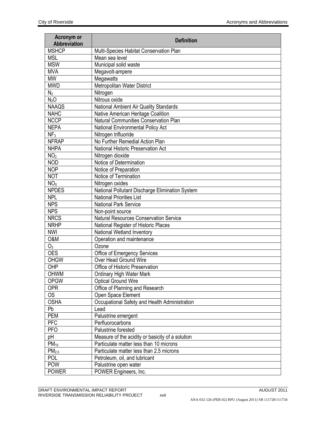| Acronym or<br>Abbreviation | <b>Definition</b>                                |
|----------------------------|--------------------------------------------------|
| <b>MSHCP</b>               | Multi-Species Habitat Conservation Plan          |
| <b>MSL</b>                 | Mean sea level                                   |
| <b>MSW</b>                 | Municipal solid waste                            |
| <b>MVA</b>                 | Megavolt-ampere                                  |
| <b>MW</b>                  | Megawatts                                        |
| <b>MWD</b>                 | Metropolitan Water District                      |
| N <sub>2</sub>             | Nitrogen                                         |
| N <sub>2</sub> O           | Nitrous oxide                                    |
| <b>NAAQS</b>               | National Ambient Air Quality Standards           |
| <b>NAHC</b>                | Native American Heritage Coalition               |
| <b>NCCP</b>                | Natural Communities Conservation Plan            |
| <b>NEPA</b>                | National Environmental Policy Act                |
| NF <sub>3</sub>            | Nitrogen trifluoride                             |
| <b>NFRAP</b>               | No Further Remedial Action Plan                  |
| <b>NHPA</b>                | National Historic Preservation Act               |
| NO <sub>2</sub>            | Nitrogen dioxide                                 |
| <b>NOD</b>                 | Notice of Determination                          |
| <b>NOP</b>                 | Notice of Preparation                            |
| <b>NOT</b>                 | Notice of Termination                            |
| NO <sub>X</sub>            | Nitrogen oxides                                  |
| <b>NPDES</b>               | National Pollutant Discharge Elimination System  |
| <b>NPL</b>                 | <b>National Priorities List</b>                  |
| <b>NPS</b>                 | <b>National Park Service</b>                     |
| <b>NPS</b>                 | Non-point source                                 |
| <b>NRCS</b>                | <b>Natural Resources Conservation Service</b>    |
| <b>NRHP</b>                | National Register of Historic Places             |
| <b>NWI</b>                 | National Wetland Inventory                       |
| O&M                        | Operation and maintenance                        |
| O <sub>3</sub>             | Ozone                                            |
| <b>OES</b>                 | Office of Emergency Services                     |
| <b>OHGW</b>                | Over Head Ground Wire                            |
| OHP                        | Office of Historic Preservation                  |
| OHWM                       | Ordinary High Water Mark                         |
| <b>OPGW</b>                | <b>Optical Ground Wire</b>                       |
| <b>OPR</b>                 | Office of Planning and Research                  |
| <b>OS</b>                  | Open Space Element                               |
| <b>OSHA</b>                | Occupational Safety and Health Administration    |
| Pb                         | Lead                                             |
| <b>PEM</b>                 | Palustrine emergent                              |
| <b>PFC</b>                 | Perfluorocarbons                                 |
| <b>PFO</b>                 | Palustrine forested                              |
| pH                         | Measure of the acidity or basicity of a solution |
| $PM_{10}$                  | Particulate matter less than 10 microns          |
| PM <sub>2.5</sub>          | Particulate matter less than 2.5 microns         |
| POL                        | Petroleum, oil, and lubricant                    |
| POW                        | Palustrine open water                            |
| <b>POWER</b>               | POWER Engineers, Inc.                            |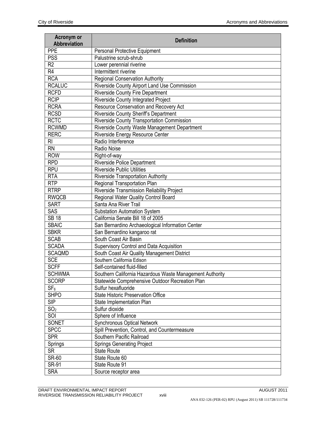| Acronym or<br>Abbreviation | <b>Definition</b>                                        |
|----------------------------|----------------------------------------------------------|
| <b>PPE</b>                 | Personal Protective Equipment                            |
| <b>PSS</b>                 | Palustrine scrub-shrub                                   |
| R <sub>2</sub>             | Lower perennial riverine                                 |
| R4                         | Intermittent riverine                                    |
| <b>RCA</b>                 | <b>Regional Conservation Authority</b>                   |
| <b>RCALUC</b>              | Riverside County Airport Land Use Commission             |
| <b>RCFD</b>                | <b>Riverside County Fire Department</b>                  |
| <b>RCIP</b>                | Riverside County Integrated Project                      |
| <b>RCRA</b>                | Resource Conservation and Recovery Act                   |
| <b>RCSD</b>                | Riverside County Sheriff's Department                    |
| <b>RCTC</b>                | Riverside County Transportation Commission               |
| <b>RCWMD</b>               | Riverside County Waste Management Department             |
| <b>RERC</b>                | Riverside Energy Resource Center                         |
| R <sub>l</sub>             | Radio Interference                                       |
| <b>RN</b>                  | Radio Noise                                              |
| <b>ROW</b>                 | Right-of-way                                             |
| <b>RPD</b>                 | <b>Riverside Police Department</b>                       |
| <b>RPU</b>                 | <b>Riverside Public Utilities</b>                        |
| <b>RTA</b>                 | <b>Riverside Transportation Authority</b>                |
| <b>RTP</b>                 | Regional Transportation Plan                             |
| <b>RTRP</b>                | Riverside Transmission Reliability Project               |
| <b>RWQCB</b>               | Regional Water Quality Control Board                     |
| <b>SART</b>                | Santa Ana River Trail                                    |
| SAS                        | Substation Automation System                             |
| <b>SB 18</b>               | California Senate Bill 18 of 2005                        |
| <b>SBAIC</b>               | San Bernardino Archaeological Information Center         |
| <b>SBKR</b>                | San Bernardino kangaroo rat                              |
| <b>SCAB</b>                | South Coast Air Basin                                    |
| <b>SCADA</b>               | Supervisory Control and Data Acquisition                 |
| <b>SCAQMD</b>              | South Coast Air Quality Management District              |
| <b>SCE</b>                 | Southern California Edison                               |
| <b>SCFF</b>                | Self-contained fluid-filled                              |
| <b>SCHWMA</b>              | Southern California Hazardous Waste Management Authority |
| <b>SCORP</b>               | Statewide Comprehensive Outdoor Recreation Plan          |
| SF <sub>6</sub>            | Sulfur hexafluoride                                      |
| <b>SHPO</b>                | <b>State Historic Preservation Office</b>                |
| <b>SIP</b>                 | State Implementation Plan                                |
| SO <sub>2</sub>            | Sulfur dioxide                                           |
| SOI                        | Sphere of Influence                                      |
| <b>SONET</b>               | <b>Synchronous Optical Network</b>                       |
| <b>SPCC</b>                | Spill Prevention, Control, and Countermeasure            |
| <b>SPR</b>                 | Southern Pacific Railroad                                |
| Springs                    | <b>Springs Generating Project</b>                        |
| <b>SR</b>                  | <b>State Route</b>                                       |
| <b>SR-60</b>               | State Route 60                                           |
| <b>SR-91</b>               | State Route 91                                           |
| <b>SRA</b>                 | Source receptor area                                     |